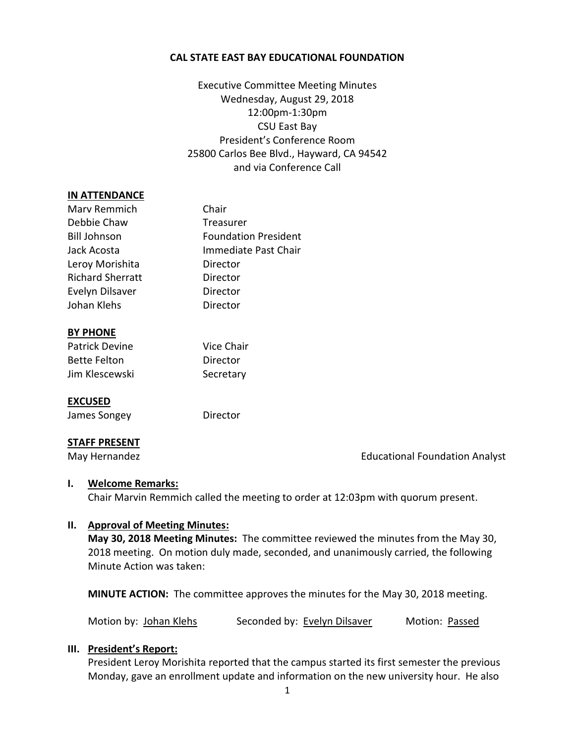#### **CAL STATE EAST BAY EDUCATIONAL FOUNDATION**

Executive Committee Meeting Minutes Wednesday, August 29, 2018 12:00pm-1:30pm CSU East Bay President's Conference Room 25800 Carlos Bee Blvd., Hayward, CA 94542 and via Conference Call

#### **IN ATTENDANCE**

| Marv Remmich            | Chair                       |
|-------------------------|-----------------------------|
| Debbie Chaw             | Treasurer                   |
| <b>Bill Johnson</b>     | <b>Foundation President</b> |
| Jack Acosta             | Immediate Past Chair        |
| Leroy Morishita         | Director                    |
| <b>Richard Sherratt</b> | Director                    |
| Evelyn Dilsaver         | Director                    |
| Johan Klehs             | Director                    |
|                         |                             |

#### **BY PHONE**

| Patrick Devine      | Vice Chair |
|---------------------|------------|
| <b>Bette Felton</b> | Director   |
| Jim Klescewski      | Secretary  |

#### **EXCUSED**

James Songey **Director** 

#### **STAFF PRESENT**

May Hernandez **Educational Foundation Analyst** Educational Foundation Analyst

#### **I. Welcome Remarks:**

Chair Marvin Remmich called the meeting to order at 12:03pm with quorum present.

## **II. Approval of Meeting Minutes:**

**May 30, 2018 Meeting Minutes:** The committee reviewed the minutes from the May 30, 2018 meeting. On motion duly made, seconded, and unanimously carried, the following Minute Action was taken:

**MINUTE ACTION:** The committee approves the minutes for the May 30, 2018 meeting.

Motion by: Johan Klehs Seconded by: Evelyn Dilsaver Motion: Passed

## **III. President's Report:**

President Leroy Morishita reported that the campus started its first semester the previous Monday, gave an enrollment update and information on the new university hour. He also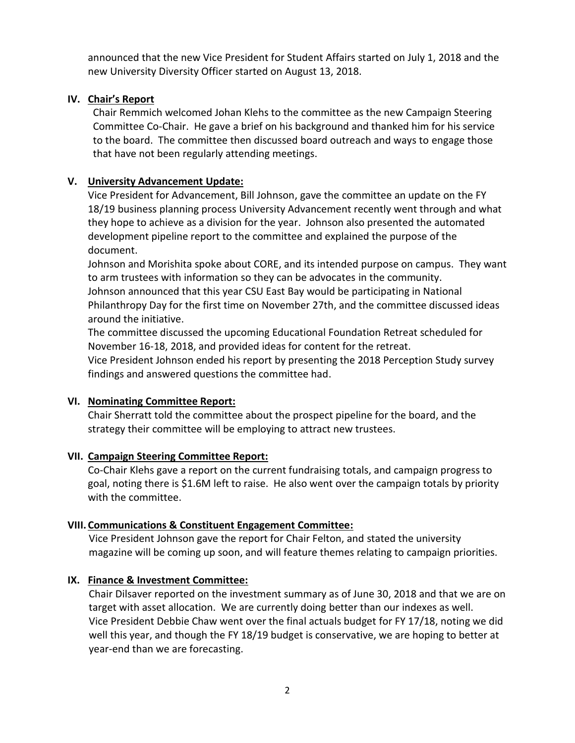announced that the new Vice President for Student Affairs started on July 1, 2018 and the new University Diversity Officer started on August 13, 2018.

# **IV. Chair's Report**

Chair Remmich welcomed Johan Klehs to the committee as the new Campaign Steering Committee Co-Chair. He gave a brief on his background and thanked him for his service to the board. The committee then discussed board outreach and ways to engage those that have not been regularly attending meetings.

## **V. University Advancement Update:**

Vice President for Advancement, Bill Johnson, gave the committee an update on the FY 18/19 business planning process University Advancement recently went through and what they hope to achieve as a division for the year. Johnson also presented the automated development pipeline report to the committee and explained the purpose of the document.

Johnson and Morishita spoke about CORE, and its intended purpose on campus. They want to arm trustees with information so they can be advocates in the community. Johnson announced that this year CSU East Bay would be participating in National Philanthropy Day for the first time on November 27th, and the committee discussed ideas around the initiative.

The committee discussed the upcoming Educational Foundation Retreat scheduled for November 16-18, 2018, and provided ideas for content for the retreat.

Vice President Johnson ended his report by presenting the 2018 Perception Study survey findings and answered questions the committee had.

## **VI. Nominating Committee Report:**

Chair Sherratt told the committee about the prospect pipeline for the board, and the strategy their committee will be employing to attract new trustees.

## **VII. Campaign Steering Committee Report:**

Co-Chair Klehs gave a report on the current fundraising totals, and campaign progress to goal, noting there is \$1.6M left to raise. He also went over the campaign totals by priority with the committee.

# **VIII. Communications & Constituent Engagement Committee:**

Vice President Johnson gave the report for Chair Felton, and stated the university magazine will be coming up soon, and will feature themes relating to campaign priorities.

# **IX. Finance & Investment Committee:**

Chair Dilsaver reported on the investment summary as of June 30, 2018 and that we are on target with asset allocation. We are currently doing better than our indexes as well. Vice President Debbie Chaw went over the final actuals budget for FY 17/18, noting we did well this year, and though the FY 18/19 budget is conservative, we are hoping to better at year-end than we are forecasting.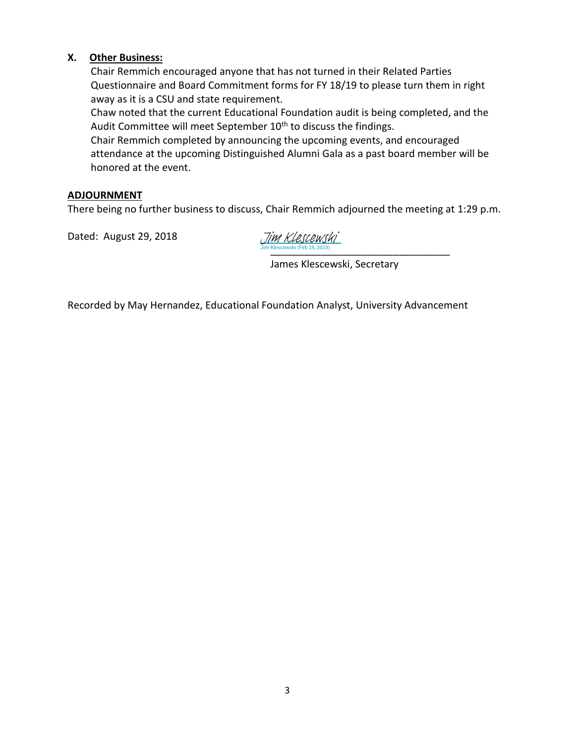## **X. Other Business:**

Chair Remmich encouraged anyone that has not turned in their Related Parties Questionnaire and Board Commitment forms for FY 18/19 to please turn them in right away as it is a CSU and state requirement.

Chaw noted that the current Educational Foundation audit is being completed, and the Audit Committee will meet September 10<sup>th</sup> to discuss the findings.

Chair Remmich completed by announcing the upcoming events, and encouraged attendance at the upcoming Distinguished Alumni Gala as a past board member will be honored at the event.

## **ADJOURNMENT**

There being no further business to discuss, Chair Remmich adjourned the meeting at 1:29 p.m.

Dated: August 29, 2018

[\\_\\_\\_\\_\\_\\_\\_\\_\\_\\_\\_\\_\\_\\_\\_\\_\\_\\_\\_\\_\\_\\_\\_\\_\\_\\_\\_\\_\\_\\_\\_\\_](https://csueastbay.na2.echosign.com/verifier?tx=CBJCHBCAABAA-c24R0kxjdvNEwDQrFQjHfNaFzfepIaQ) Jim Klescewski (Feb 19, 2019) Jim Klescewski

James Klescewski, Secretary

Recorded by May Hernandez, Educational Foundation Analyst, University Advancement